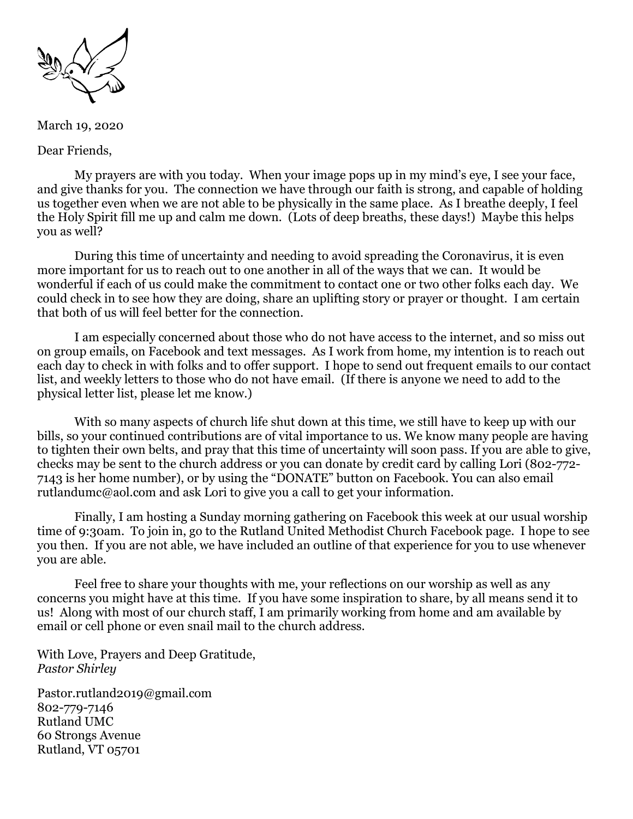

March 19, 2020

Dear Friends,

My prayers are with you today. When your image pops up in my mind's eye, I see your face, and give thanks for you. The connection we have through our faith is strong, and capable of holding us together even when we are not able to be physically in the same place. As I breathe deeply, I feel the Holy Spirit fill me up and calm me down. (Lots of deep breaths, these days!) Maybe this helps you as well?

During this time of uncertainty and needing to avoid spreading the Coronavirus, it is even more important for us to reach out to one another in all of the ways that we can. It would be wonderful if each of us could make the commitment to contact one or two other folks each day. We could check in to see how they are doing, share an uplifting story or prayer or thought. I am certain that both of us will feel better for the connection.

I am especially concerned about those who do not have access to the internet, and so miss out on group emails, on Facebook and text messages. As I work from home, my intention is to reach out each day to check in with folks and to offer support. I hope to send out frequent emails to our contact list, and weekly letters to those who do not have email. (If there is anyone we need to add to the physical letter list, please let me know.)

With so many aspects of church life shut down at this time, we still have to keep up with our bills, so your continued contributions are of vital importance to us. We know many people are having to tighten their own belts, and pray that this time of uncertainty will soon pass. If you are able to give, checks may be sent to the church address or you can donate by credit card by calling Lori (802-772- 7143 is her home number), or by using the "DONATE" button on Facebook. You can also email [rutlandumc@aol.com](mailto:rutlandumc@aol.com) and ask Lori to give you a call to get your information.

Finally, I am hosting a Sunday morning gathering on Facebook this week at our usual worship time of 9:30am. To join in, go to the Rutland United Methodist Church Facebook page. I hope to see you then. If you are not able, we have included an outline of that experience for you to use whenever you are able.

Feel free to share your thoughts with me, your reflections on our worship as well as any concerns you might have at this time. If you have some inspiration to share, by all means send it to us! Along with most of our church staff, I am primarily working from home and am available by email or cell phone or even snail mail to the church address.

With Love, Prayers and Deep Gratitude, *Pastor Shirley*

[Pastor.rutland2019@gmail.com](mailto:Pastor.rutland2019@gmail.com) 802-779-7146 Rutland UMC 60 Strongs Avenue Rutland, VT 05701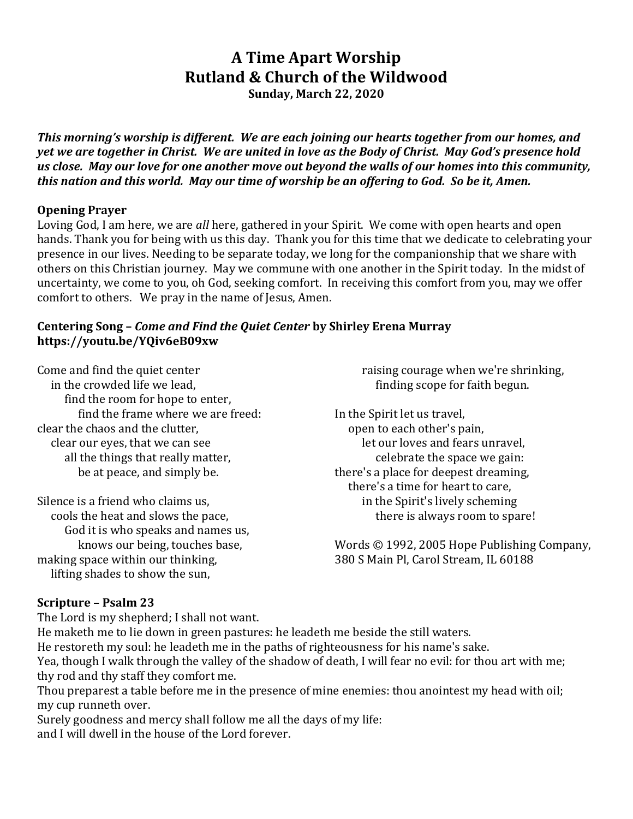# **A Time Apart Worship Rutland & Church of the Wildwood**

**Sunday, March 22, 2020**

*This morning's worship is different. We are each joining our hearts together from our homes, and yet we are together in Christ. We are united in love as the Body of Christ. May God's presence hold us close. May our love for one another move out beyond the walls of our homes into this community, this nation and this world. May our time of worship be an offering to God. So be it, Amen.*

### **Opening Prayer**

Loving God, I am here, we are *all* here, gathered in your Spirit. We come with open hearts and open hands. Thank you for being with us this day. Thank you for this time that we dedicate to celebrating your presence in our lives. Needing to be separate today, we long for the companionship that we share with others on this Christian journey. May we commune with one another in the Spirit today. In the midst of uncertainty, we come to you, oh God, seeking comfort. In receiving this comfort from you, may we offer comfort to others. We pray in the name of Jesus, Amen.

#### **Centering Song –** *Come and Find the Quiet Center* **by Shirley Erena Murray <https://youtu.be/YQiv6eB09xw>**

Come and find the quiet center in the crowded life we lead, find the room for hope to enter, find the frame where we are freed: clear the chaos and the clutter, clear our eyes, that we can see all the things that really matter, be at peace, and simply be.

Silence is a friend who claims us, cools the heat and slows the pace, God it is who speaks and names us, knows our being, touches base, making space within our thinking, lifting shades to show the sun,

 raising courage when we're shrinking, finding scope for faith begun.

In the Spirit let us travel, open to each other's pain, let our loves and fears unravel, celebrate the space we gain: there's a place for deepest dreaming, there's a time for heart to care, in the Spirit's lively scheming there is always room to spare!

Words © 1992, 2005 Hope Publishing Company, 380 S Main Pl, Carol Stream, IL 60188

## **Scripture – Psalm 23**

The Lord is my shepherd; I shall not want.

He maketh me to lie down in green pastures: he leadeth me beside the still waters. He restoreth my soul: he leadeth me in the paths of righteousness for his name's sake. Yea, though I walk through the valley of the shadow of death, I will fear no evil: for thou art with me; thy rod and thy staff they comfort me. Thou preparest a table before me in the presence of mine enemies: thou anointest my head with oil; my cup runneth over.

Surely goodness and mercy shall follow me all the days of my life: and I will dwell in the house of the Lord forever.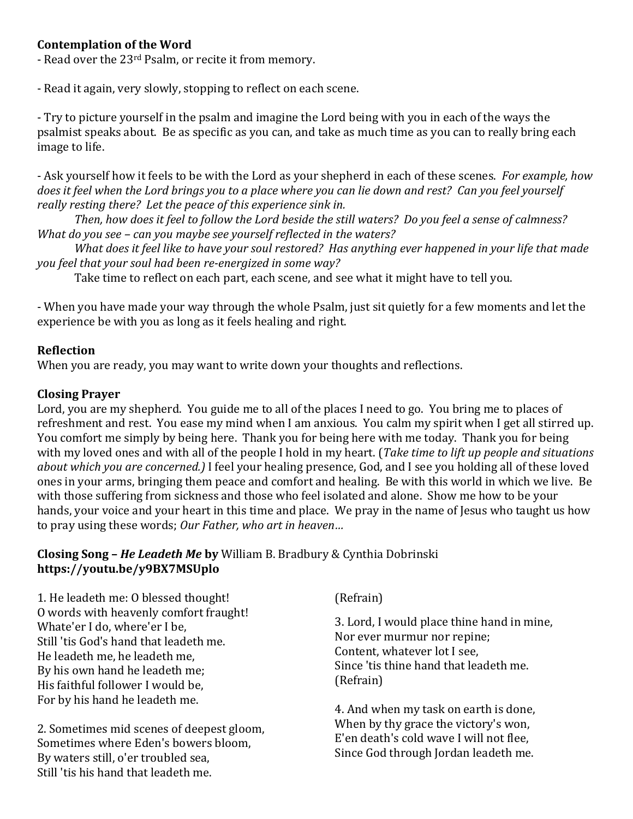# **Contemplation of the Word**

- Read over the 23rd Psalm, or recite it from memory.

- Read it again, very slowly, stopping to reflect on each scene.

- Try to picture yourself in the psalm and imagine the Lord being with you in each of the ways the psalmist speaks about. Be as specific as you can, and take as much time as you can to really bring each image to life.

- Ask yourself how it feels to be with the Lord as your shepherd in each of these scenes. *For example, how does it feel when the Lord brings you to a place where you can lie down and rest? Can you feel yourself really resting there? Let the peace of this experience sink in.* 

*Then, how does it feel to follow the Lord beside the still waters? Do you feel a sense of calmness? What do you see – can you maybe see yourself reflected in the waters?*

*What does it feel like to have your soul restored? Has anything ever happened in your life that made you feel that your soul had been re-energized in some way?*

Take time to reflect on each part, each scene, and see what it might have to tell you.

- When you have made your way through the whole Psalm, just sit quietly for a few moments and let the experience be with you as long as it feels healing and right.

## **Reflection**

When you are ready, you may want to write down your thoughts and reflections.

### **Closing Prayer**

Lord, you are my shepherd. You guide me to all of the places I need to go. You bring me to places of refreshment and rest. You ease my mind when I am anxious. You calm my spirit when I get all stirred up. You comfort me simply by being here. Thank you for being here with me today. Thank you for being with my loved ones and with all of the people I hold in my heart. (*Take time to lift up people and situations about which you are concerned.)* I feel your healing presence, God, and I see you holding all of these loved ones in your arms, bringing them peace and comfort and healing. Be with this world in which we live. Be with those suffering from sickness and those who feel isolated and alone. Show me how to be your hands, your voice and your heart in this time and place. We pray in the name of Jesus who taught us how to pray using these words; *Our Father, who art in heaven…*

### **Closing Song –** *He Leadeth Me* **by** William B. Bradbury & Cynthia Dobrinski **<https://youtu.be/y9BX7MSUplo>**

1. He leadeth me: O blessed thought! O words with heavenly comfort fraught! Whate'er I do, where'er I be, Still 'tis God's hand that leadeth me. He leadeth me, he leadeth me, By his own hand he leadeth me; His faithful follower I would be, For by his hand he leadeth me.

2. Sometimes mid scenes of deepest gloom, Sometimes where Eden's bowers bloom, By waters still, o'er troubled sea, Still 'tis his hand that leadeth me.

(Refrain)

3. Lord, I would place thine hand in mine, Nor ever murmur nor repine; Content, whatever lot I see, Since 'tis thine hand that leadeth me. (Refrain)

4. And when my task on earth is done, When by thy grace the victory's won, E'en death's cold wave I will not flee, Since God through Jordan leadeth me.